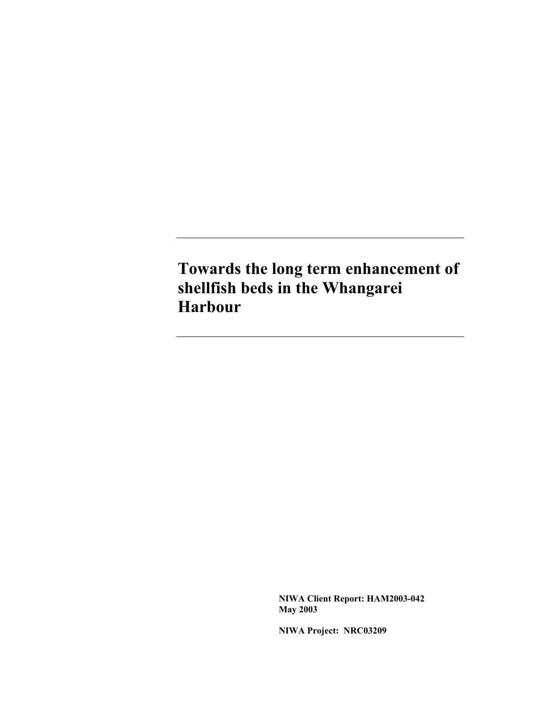**Towards the long term enhancement of shellfish beds in the Whangarei Harbour** 

> **NIWA Client Report: HAM2003-042 May 2003**

**NIWA Project: NRC03209**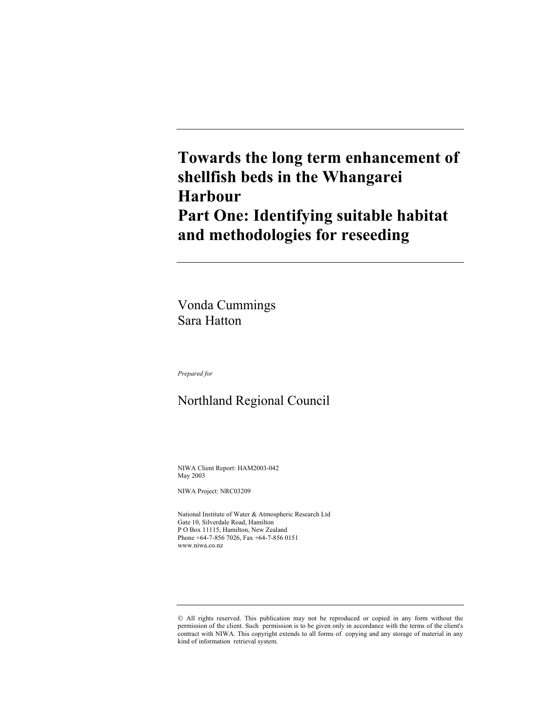## **Towards the long term enhancement of shellfish beds in the Whangarei Harbour Part One: Identifying suitable habitat and methodologies for reseeding**

Vonda Cummings Sara Hatton

*Prepared for* 

## Northland Regional Council

NIWA Client Report: HAM2003-042 May 2003

NIWA Project: NRC03209

National Institute of Water & Atmospheric Research Ltd Gate 10, Silverdale Road, Hamilton P O Box 11115, Hamilton, New Zealand Phone +64-7-856 7026, Fax +64-7-856 0151 www.niwa.co.nz

All rights reserved. This publication may not be reproduced or copied in any form without the permission of the client. Such permission is to be given only in accordance with the terms of the client's contract with NIWA. This copyright extends to all forms of copying and any storage of material in any kind of information retrieval system.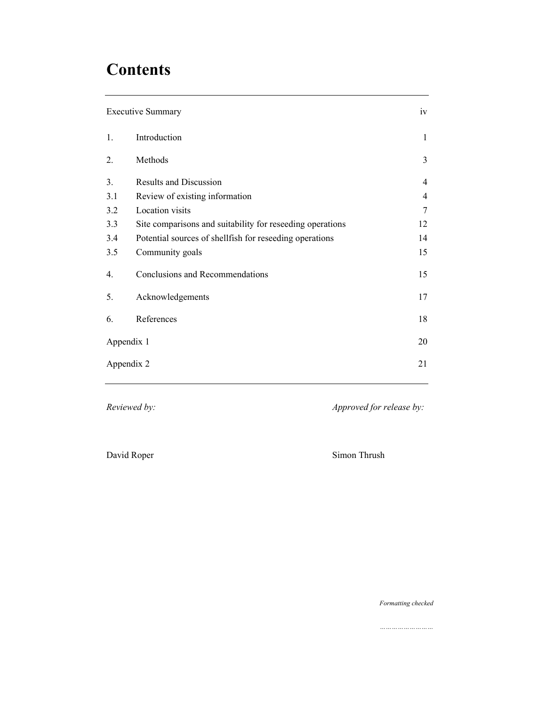# **Contents**

| <b>Executive Summary</b> | iv                                                        |    |
|--------------------------|-----------------------------------------------------------|----|
| 1.                       | Introduction                                              | 1  |
| $\overline{2}$ .         | Methods                                                   | 3  |
| 3 <sub>1</sub>           | <b>Results and Discussion</b>                             | 4  |
| 3.1                      | Review of existing information                            | 4  |
| 3.2                      | Location visits                                           | 7  |
| 3.3                      | Site comparisons and suitability for reseeding operations | 12 |
| 3.4                      | Potential sources of shellfish for reseeding operations   | 14 |
| 3.5                      | Community goals                                           | 15 |
| 4.                       | Conclusions and Recommendations                           | 15 |
| 5.                       | Acknowledgements                                          | 17 |
| 6.                       | References                                                | 18 |
| Appendix 1               |                                                           | 20 |
| Appendix 2               |                                                           | 21 |

*Reviewed by: Approved for release by:* 

David Roper Simon Thrush

*Formatting checked*

*………………………*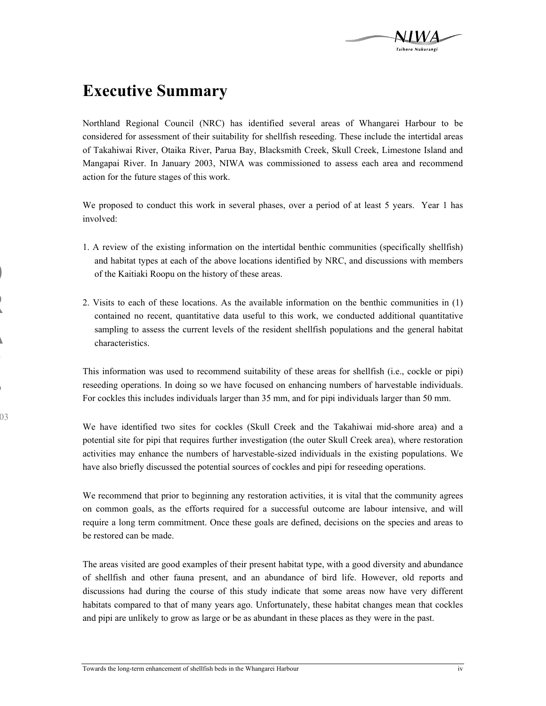

## **Executive Summary**

**D**

**R**

**A**

**F**

**T**

03

Northland Regional Council (NRC) has identified several areas of Whangarei Harbour to be considered for assessment of their suitability for shellfish reseeding. These include the intertidal areas of Takahiwai River, Otaika River, Parua Bay, Blacksmith Creek, Skull Creek, Limestone Island and Mangapai River. In January 2003, NIWA was commissioned to assess each area and recommend action for the future stages of this work.

We proposed to conduct this work in several phases, over a period of at least 5 years. Year 1 has involved:

- 1. A review of the existing information on the intertidal benthic communities (specifically shellfish) and habitat types at each of the above locations identified by NRC, and discussions with members of the Kaitiaki Roopu on the history of these areas.
- 2. Visits to each of these locations. As the available information on the benthic communities in (1) contained no recent, quantitative data useful to this work, we conducted additional quantitative sampling to assess the current levels of the resident shellfish populations and the general habitat characteristics.

This information was used to recommend suitability of these areas for shellfish (i.e., cockle or pipi) reseeding operations. In doing so we have focused on enhancing numbers of harvestable individuals. For cockles this includes individuals larger than 35 mm, and for pipi individuals larger than 50 mm.

We have identified two sites for cockles (Skull Creek and the Takahiwai mid-shore area) and a potential site for pipi that requires further investigation (the outer Skull Creek area), where restoration activities may enhance the numbers of harvestable-sized individuals in the existing populations. We have also briefly discussed the potential sources of cockles and pipi for reseeding operations.

We recommend that prior to beginning any restoration activities, it is vital that the community agrees on common goals, as the efforts required for a successful outcome are labour intensive, and will require a long term commitment. Once these goals are defined, decisions on the species and areas to be restored can be made.

The areas visited are good examples of their present habitat type, with a good diversity and abundance of shellfish and other fauna present, and an abundance of bird life. However, old reports and discussions had during the course of this study indicate that some areas now have very different habitats compared to that of many years ago. Unfortunately, these habitat changes mean that cockles and pipi are unlikely to grow as large or be as abundant in these places as they were in the past.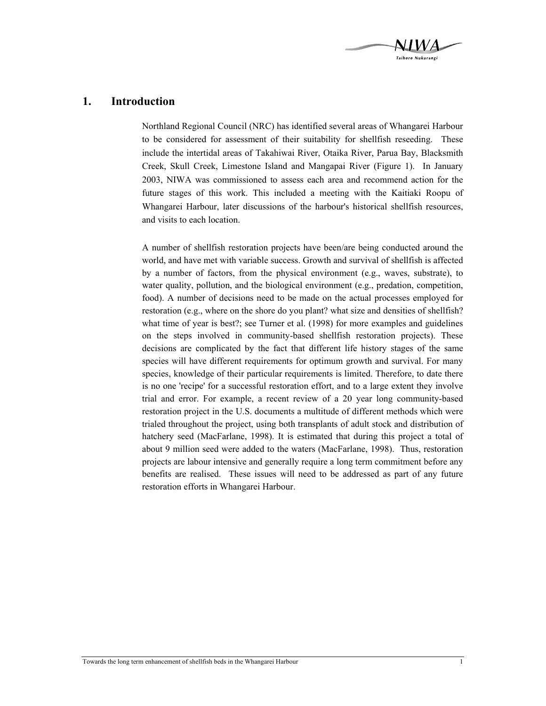

## **1. Introduction**

Northland Regional Council (NRC) has identified several areas of Whangarei Harbour to be considered for assessment of their suitability for shellfish reseeding. These include the intertidal areas of Takahiwai River, Otaika River, Parua Bay, Blacksmith Creek, Skull Creek, Limestone Island and Mangapai River (Figure 1). In January 2003, NIWA was commissioned to assess each area and recommend action for the future stages of this work. This included a meeting with the Kaitiaki Roopu of Whangarei Harbour, later discussions of the harbour's historical shellfish resources, and visits to each location.

A number of shellfish restoration projects have been/are being conducted around the world, and have met with variable success. Growth and survival of shellfish is affected by a number of factors, from the physical environment (e.g., waves, substrate), to water quality, pollution, and the biological environment (e.g., predation, competition, food). A number of decisions need to be made on the actual processes employed for restoration (e.g., where on the shore do you plant? what size and densities of shellfish? what time of year is best?; see Turner et al. (1998) for more examples and guidelines on the steps involved in community-based shellfish restoration projects). These decisions are complicated by the fact that different life history stages of the same species will have different requirements for optimum growth and survival. For many species, knowledge of their particular requirements is limited. Therefore, to date there is no one 'recipe' for a successful restoration effort, and to a large extent they involve trial and error. For example, a recent review of a 20 year long community-based restoration project in the U.S. documents a multitude of different methods which were trialed throughout the project, using both transplants of adult stock and distribution of hatchery seed (MacFarlane, 1998). It is estimated that during this project a total of about 9 million seed were added to the waters (MacFarlane, 1998). Thus, restoration projects are labour intensive and generally require a long term commitment before any benefits are realised. These issues will need to be addressed as part of any future restoration efforts in Whangarei Harbour.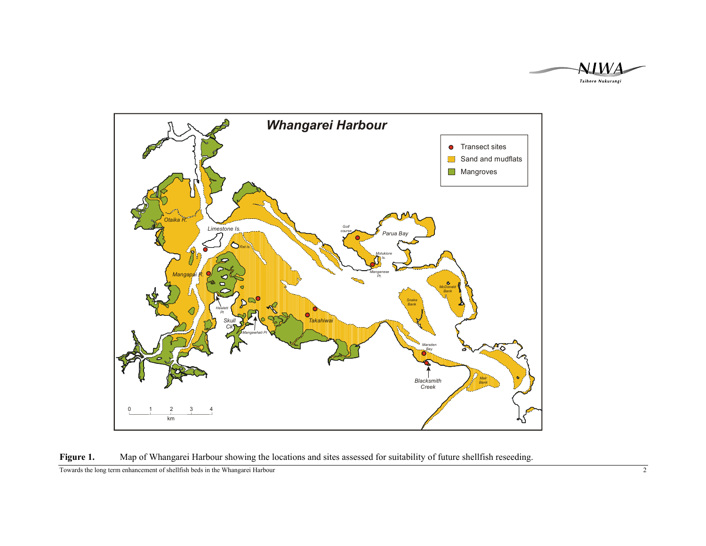





Towards the long term enhancement of shellfish beds in the Whangarei Harbour 2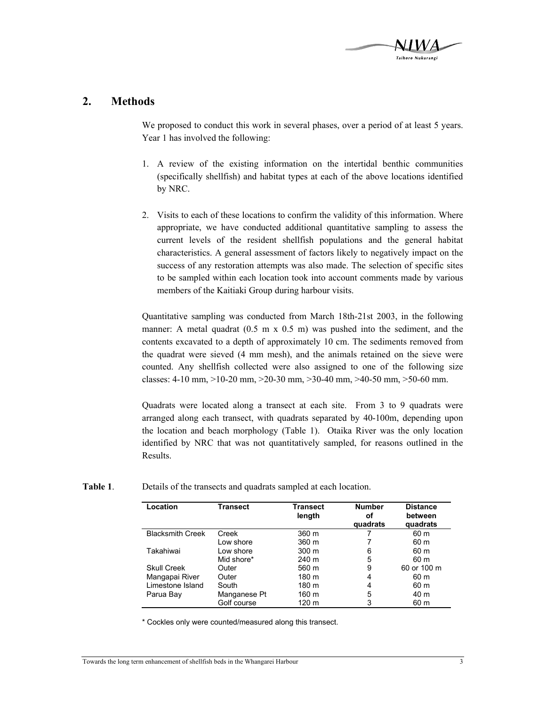

## **2. Methods**

We proposed to conduct this work in several phases, over a period of at least 5 years. Year 1 has involved the following:

- 1. A review of the existing information on the intertidal benthic communities (specifically shellfish) and habitat types at each of the above locations identified by NRC.
- 2. Visits to each of these locations to confirm the validity of this information. Where appropriate, we have conducted additional quantitative sampling to assess the current levels of the resident shellfish populations and the general habitat characteristics. A general assessment of factors likely to negatively impact on the success of any restoration attempts was also made. The selection of specific sites to be sampled within each location took into account comments made by various members of the Kaitiaki Group during harbour visits.

Quantitative sampling was conducted from March 18th-21st 2003, in the following manner: A metal quadrat  $(0.5 \text{ m} \times 0.5 \text{ m})$  was pushed into the sediment, and the contents excavated to a depth of approximately 10 cm. The sediments removed from the quadrat were sieved (4 mm mesh), and the animals retained on the sieve were counted. Any shellfish collected were also assigned to one of the following size classes:  $4-10$  mm,  $>10-20$  mm,  $>20-30$  mm,  $>30-40$  mm,  $>40-50$  mm,  $>50-60$  mm.

Quadrats were located along a transect at each site. From 3 to 9 quadrats were arranged along each transect, with quadrats separated by 40-100m, depending upon the location and beach morphology (Table 1). Otaika River was the only location identified by NRC that was not quantitatively sampled, for reasons outlined in the Results.

| Table 1. | Details of the transects and quadrats sampled at each location. |  |  |
|----------|-----------------------------------------------------------------|--|--|
|          |                                                                 |  |  |

| Location                | Transect     | Transect<br>length | <b>Number</b><br>οf<br>quadrats | <b>Distance</b><br>between<br>quadrats |
|-------------------------|--------------|--------------------|---------------------------------|----------------------------------------|
| <b>Blacksmith Creek</b> | Creek        | 360 m              |                                 | 60 m                                   |
|                         | Low shore    | 360 m              |                                 | 60 m                                   |
| Takahiwai               | Low shore    | $300 \; \text{m}$  | 6                               | 60 m                                   |
|                         | Mid shore*   | $240 \text{ m}$    | 5                               | 60 m                                   |
| <b>Skull Creek</b>      | Outer        | 560 m              | 9                               | 60 or 100 m                            |
| Mangapai River          | Outer        | 180 m              | 4                               | 60 m                                   |
| Limestone Island        | South        | 180 m              | 4                               | 60 m                                   |
| Parua Bay               | Manganese Pt | 160 m              | 5                               | 40 m                                   |
|                         | Golf course  | 120 m              | 3                               | 60 m                                   |

\* Cockles only were counted/measured along this transect.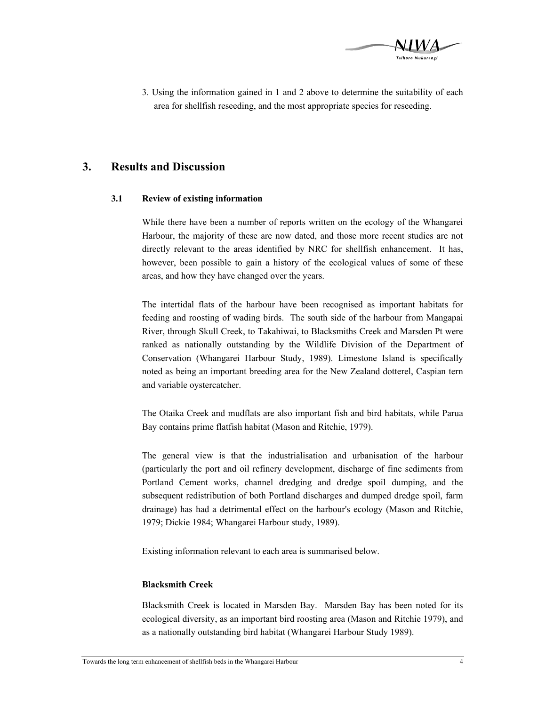

3. Using the information gained in 1 and 2 above to determine the suitability of each area for shellfish reseeding, and the most appropriate species for reseeding.

## **3. Results and Discussion**

#### **3.1 Review of existing information**

While there have been a number of reports written on the ecology of the Whangarei Harbour, the majority of these are now dated, and those more recent studies are not directly relevant to the areas identified by NRC for shellfish enhancement. It has, however, been possible to gain a history of the ecological values of some of these areas, and how they have changed over the years.

The intertidal flats of the harbour have been recognised as important habitats for feeding and roosting of wading birds. The south side of the harbour from Mangapai River, through Skull Creek, to Takahiwai, to Blacksmiths Creek and Marsden Pt were ranked as nationally outstanding by the Wildlife Division of the Department of Conservation (Whangarei Harbour Study, 1989). Limestone Island is specifically noted as being an important breeding area for the New Zealand dotterel, Caspian tern and variable oystercatcher.

The Otaika Creek and mudflats are also important fish and bird habitats, while Parua Bay contains prime flatfish habitat (Mason and Ritchie, 1979).

The general view is that the industrialisation and urbanisation of the harbour (particularly the port and oil refinery development, discharge of fine sediments from Portland Cement works, channel dredging and dredge spoil dumping, and the subsequent redistribution of both Portland discharges and dumped dredge spoil, farm drainage) has had a detrimental effect on the harbour's ecology (Mason and Ritchie, 1979; Dickie 1984; Whangarei Harbour study, 1989).

Existing information relevant to each area is summarised below.

#### **Blacksmith Creek**

Blacksmith Creek is located in Marsden Bay. Marsden Bay has been noted for its ecological diversity, as an important bird roosting area (Mason and Ritchie 1979), and as a nationally outstanding bird habitat (Whangarei Harbour Study 1989).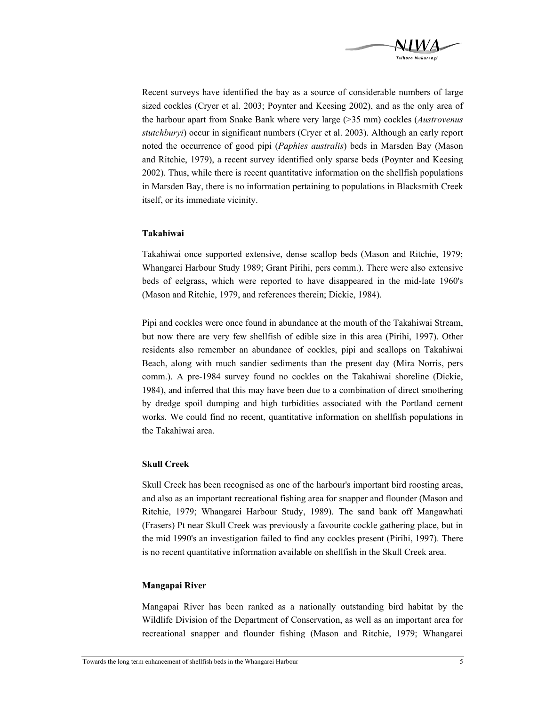

Recent surveys have identified the bay as a source of considerable numbers of large sized cockles (Cryer et al. 2003; Poynter and Keesing 2002), and as the only area of the harbour apart from Snake Bank where very large (>35 mm) cockles (*Austrovenus stutchburyi*) occur in significant numbers (Cryer et al. 2003). Although an early report noted the occurrence of good pipi (*Paphies australis*) beds in Marsden Bay (Mason and Ritchie, 1979), a recent survey identified only sparse beds (Poynter and Keesing 2002). Thus, while there is recent quantitative information on the shellfish populations in Marsden Bay, there is no information pertaining to populations in Blacksmith Creek itself, or its immediate vicinity.

#### **Takahiwai**

Takahiwai once supported extensive, dense scallop beds (Mason and Ritchie, 1979; Whangarei Harbour Study 1989; Grant Pirihi, pers comm.). There were also extensive beds of eelgrass, which were reported to have disappeared in the mid-late 1960's (Mason and Ritchie, 1979, and references therein; Dickie, 1984).

Pipi and cockles were once found in abundance at the mouth of the Takahiwai Stream, but now there are very few shellfish of edible size in this area (Pirihi, 1997). Other residents also remember an abundance of cockles, pipi and scallops on Takahiwai Beach, along with much sandier sediments than the present day (Mira Norris, pers comm.). A pre-1984 survey found no cockles on the Takahiwai shoreline (Dickie, 1984), and inferred that this may have been due to a combination of direct smothering by dredge spoil dumping and high turbidities associated with the Portland cement works. We could find no recent, quantitative information on shellfish populations in the Takahiwai area.

#### **Skull Creek**

Skull Creek has been recognised as one of the harbour's important bird roosting areas, and also as an important recreational fishing area for snapper and flounder (Mason and Ritchie, 1979; Whangarei Harbour Study, 1989). The sand bank off Mangawhati (Frasers) Pt near Skull Creek was previously a favourite cockle gathering place, but in the mid 1990's an investigation failed to find any cockles present (Pirihi, 1997). There is no recent quantitative information available on shellfish in the Skull Creek area.

#### **Mangapai River**

Mangapai River has been ranked as a nationally outstanding bird habitat by the Wildlife Division of the Department of Conservation, as well as an important area for recreational snapper and flounder fishing (Mason and Ritchie, 1979; Whangarei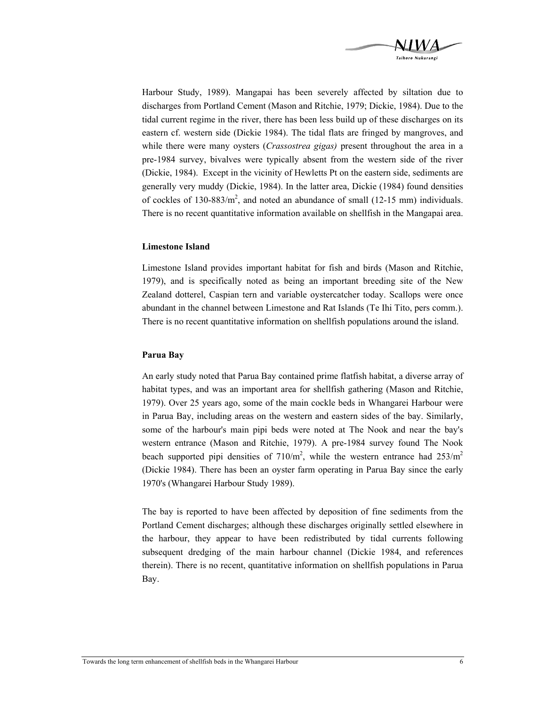

Harbour Study, 1989). Mangapai has been severely affected by siltation due to discharges from Portland Cement (Mason and Ritchie, 1979; Dickie, 1984). Due to the tidal current regime in the river, there has been less build up of these discharges on its eastern cf. western side (Dickie 1984). The tidal flats are fringed by mangroves, and while there were many oysters (*Crassostrea gigas)* present throughout the area in a pre-1984 survey, bivalves were typically absent from the western side of the river (Dickie, 1984). Except in the vicinity of Hewletts Pt on the eastern side, sediments are generally very muddy (Dickie, 1984). In the latter area, Dickie (1984) found densities of cockles of  $130-883/m^2$ , and noted an abundance of small (12-15 mm) individuals. There is no recent quantitative information available on shellfish in the Mangapai area.

#### **Limestone Island**

Limestone Island provides important habitat for fish and birds (Mason and Ritchie, 1979), and is specifically noted as being an important breeding site of the New Zealand dotterel, Caspian tern and variable oystercatcher today. Scallops were once abundant in the channel between Limestone and Rat Islands (Te Ihi Tito, pers comm.). There is no recent quantitative information on shellfish populations around the island.

#### **Parua Bay**

An early study noted that Parua Bay contained prime flatfish habitat, a diverse array of habitat types, and was an important area for shellfish gathering (Mason and Ritchie, 1979). Over 25 years ago, some of the main cockle beds in Whangarei Harbour were in Parua Bay, including areas on the western and eastern sides of the bay. Similarly, some of the harbour's main pipi beds were noted at The Nook and near the bay's western entrance (Mason and Ritchie, 1979). A pre-1984 survey found The Nook beach supported pipi densities of  $710/m^2$ , while the western entrance had  $253/m^2$ (Dickie 1984). There has been an oyster farm operating in Parua Bay since the early 1970's (Whangarei Harbour Study 1989).

The bay is reported to have been affected by deposition of fine sediments from the Portland Cement discharges; although these discharges originally settled elsewhere in the harbour, they appear to have been redistributed by tidal currents following subsequent dredging of the main harbour channel (Dickie 1984, and references therein). There is no recent, quantitative information on shellfish populations in Parua Bay.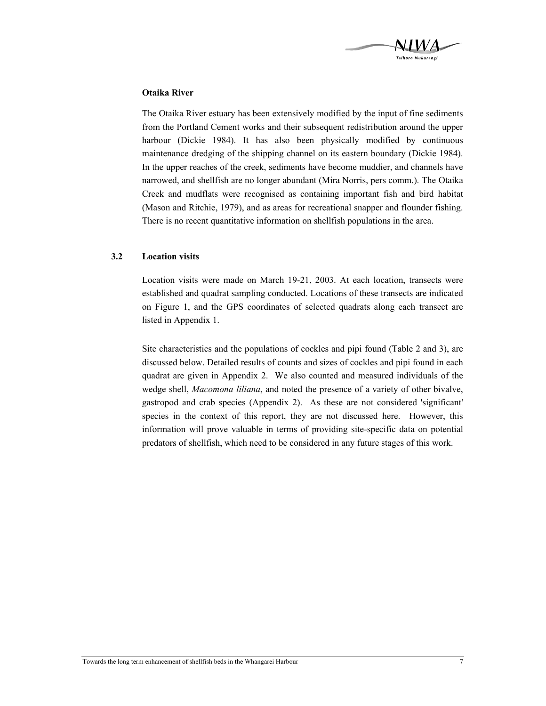

#### **Otaika River**

The Otaika River estuary has been extensively modified by the input of fine sediments from the Portland Cement works and their subsequent redistribution around the upper harbour (Dickie 1984). It has also been physically modified by continuous maintenance dredging of the shipping channel on its eastern boundary (Dickie 1984). In the upper reaches of the creek, sediments have become muddier, and channels have narrowed, and shellfish are no longer abundant (Mira Norris, pers comm.). The Otaika Creek and mudflats were recognised as containing important fish and bird habitat (Mason and Ritchie, 1979), and as areas for recreational snapper and flounder fishing. There is no recent quantitative information on shellfish populations in the area.

#### **3.2 Location visits**

Location visits were made on March 19-21, 2003. At each location, transects were established and quadrat sampling conducted. Locations of these transects are indicated on Figure 1, and the GPS coordinates of selected quadrats along each transect are listed in Appendix 1.

Site characteristics and the populations of cockles and pipi found (Table 2 and 3), are discussed below. Detailed results of counts and sizes of cockles and pipi found in each quadrat are given in Appendix 2. We also counted and measured individuals of the wedge shell, *Macomona liliana*, and noted the presence of a variety of other bivalve, gastropod and crab species (Appendix 2). As these are not considered 'significant' species in the context of this report, they are not discussed here. However, this information will prove valuable in terms of providing site-specific data on potential predators of shellfish, which need to be considered in any future stages of this work.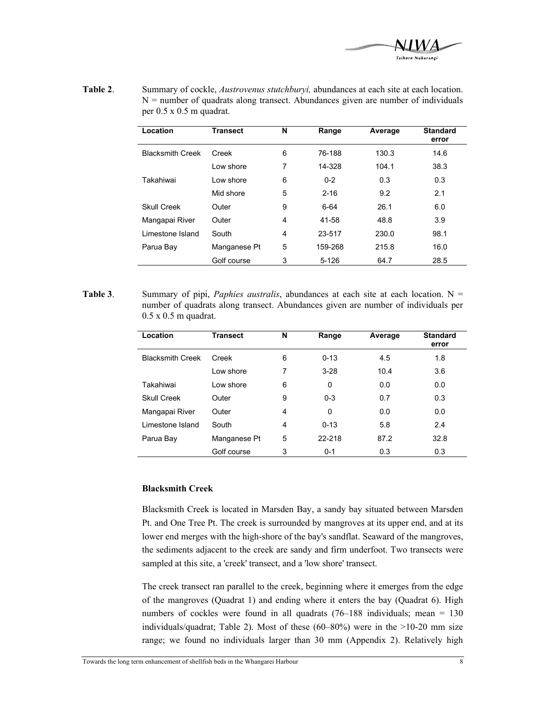

| Table 2. | Summary of cockle, <i>Austrovenus stutchburyi</i> , abundances at each site at each location. |
|----------|-----------------------------------------------------------------------------------------------|
|          | $N =$ number of quadrats along transect. Abundances given are number of individuals           |
|          | per $0.5 \times 0.5$ m quadrat.                                                               |

| Location                | <b>Transect</b> | N | Range    | Average | <b>Standard</b><br>error |
|-------------------------|-----------------|---|----------|---------|--------------------------|
| <b>Blacksmith Creek</b> | Creek           | 6 | 76-188   | 130.3   | 14.6                     |
|                         | Low shore       | 7 | 14-328   | 104.1   | 38.3                     |
| Takahiwai               | Low shore       | 6 | $0 - 2$  | 0.3     | 0.3                      |
|                         | Mid shore       | 5 | $2 - 16$ | 9.2     | 2.1                      |
| <b>Skull Creek</b>      | Outer           | 9 | $6 - 64$ | 26.1    | 6.0                      |
| Mangapai River          | Outer           | 4 | 41-58    | 48.8    | 3.9                      |
| Limestone Island        | South           | 4 | 23-517   | 230.0   | 98.1                     |
| Parua Bay               | Manganese Pt    | 5 | 159-268  | 215.8   | 16.0                     |
|                         | Golf course     | 3 | 5-126    | 64.7    | 28.5                     |

Table 3. Summary of pipi, *Paphies australis*, abundances at each site at each location. N = number of quadrats along transect. Abundances given are number of individuals per 0.5 x 0.5 m quadrat.

| Location                | <b>Transect</b> | N | Range    | Average | <b>Standard</b><br>error |
|-------------------------|-----------------|---|----------|---------|--------------------------|
| <b>Blacksmith Creek</b> | Creek           | 6 | $0 - 13$ | 4.5     | 1.8                      |
|                         | Low shore       | 7 | $3-28$   | 10.4    | 3.6                      |
| Takahiwai               | Low shore       | 6 | 0        | 0.0     | 0.0                      |
| <b>Skull Creek</b>      | Outer           | 9 | $0 - 3$  | 0.7     | 0.3                      |
| Mangapai River          | Outer           | 4 | $\Omega$ | 0.0     | 0.0                      |
| Limestone Island        | South           | 4 | $0 - 13$ | 5.8     | 2.4                      |
| Parua Bay               | Manganese Pt    | 5 | 22-218   | 87.2    | 32.8                     |
|                         | Golf course     | 3 | $0 - 1$  | 0.3     | 0.3                      |

#### **Blacksmith Creek**

Blacksmith Creek is located in Marsden Bay, a sandy bay situated between Marsden Pt. and One Tree Pt. The creek is surrounded by mangroves at its upper end, and at its lower end merges with the high-shore of the bay's sandflat. Seaward of the mangroves, the sediments adjacent to the creek are sandy and firm underfoot. Two transects were sampled at this site, a 'creek' transect, and a 'low shore' transect.

The creek transect ran parallel to the creek, beginning where it emerges from the edge of the mangroves (Quadrat 1) and ending where it enters the bay (Quadrat 6). High numbers of cockles were found in all quadrats (76–188 individuals; mean = 130 individuals/quadrat; Table 2). Most of these  $(60-80%)$  were in the  $>10-20$  mm size range; we found no individuals larger than 30 mm (Appendix 2). Relatively high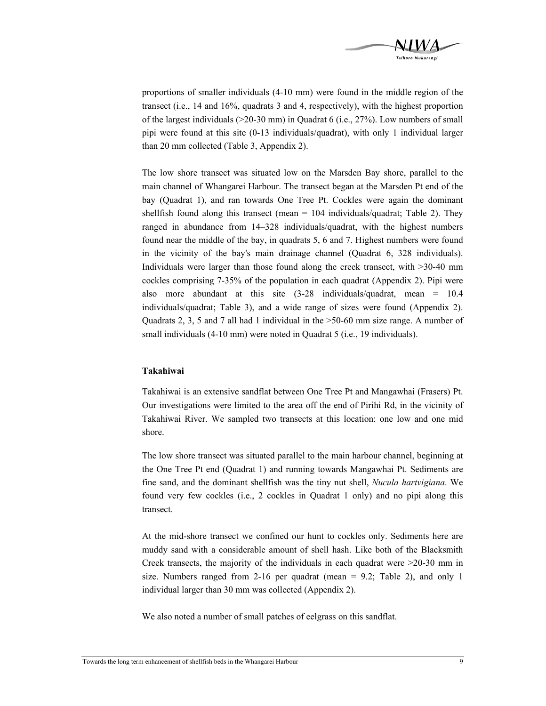

proportions of smaller individuals (4-10 mm) were found in the middle region of the transect (i.e., 14 and 16%, quadrats 3 and 4, respectively), with the highest proportion of the largest individuals (>20-30 mm) in Quadrat 6 (i.e., 27%). Low numbers of small pipi were found at this site (0-13 individuals/quadrat), with only 1 individual larger than 20 mm collected (Table 3, Appendix 2).

The low shore transect was situated low on the Marsden Bay shore, parallel to the main channel of Whangarei Harbour. The transect began at the Marsden Pt end of the bay (Quadrat 1), and ran towards One Tree Pt. Cockles were again the dominant shellfish found along this transect (mean  $= 104$  individuals/quadrat; Table 2). They ranged in abundance from 14–328 individuals/quadrat, with the highest numbers found near the middle of the bay, in quadrats 5, 6 and 7. Highest numbers were found in the vicinity of the bay's main drainage channel (Quadrat 6, 328 individuals). Individuals were larger than those found along the creek transect, with >30-40 mm cockles comprising 7-35% of the population in each quadrat (Appendix 2). Pipi were also more abundant at this site (3-28 individuals/quadrat, mean = 10.4 individuals/quadrat; Table 3), and a wide range of sizes were found (Appendix 2). Quadrats 2, 3, 5 and 7 all had 1 individual in the >50-60 mm size range. A number of small individuals (4-10 mm) were noted in Quadrat 5 (i.e., 19 individuals).

#### **Takahiwai**

Takahiwai is an extensive sandflat between One Tree Pt and Mangawhai (Frasers) Pt. Our investigations were limited to the area off the end of Pirihi Rd, in the vicinity of Takahiwai River. We sampled two transects at this location: one low and one mid shore.

The low shore transect was situated parallel to the main harbour channel, beginning at the One Tree Pt end (Quadrat 1) and running towards Mangawhai Pt. Sediments are fine sand, and the dominant shellfish was the tiny nut shell, *Nucula hartvigiana*. We found very few cockles (i.e., 2 cockles in Quadrat 1 only) and no pipi along this transect.

At the mid-shore transect we confined our hunt to cockles only. Sediments here are muddy sand with a considerable amount of shell hash. Like both of the Blacksmith Creek transects, the majority of the individuals in each quadrat were >20-30 mm in size. Numbers ranged from 2-16 per quadrat (mean  $= 9.2$ ; Table 2), and only 1 individual larger than 30 mm was collected (Appendix 2).

We also noted a number of small patches of eelgrass on this sandflat.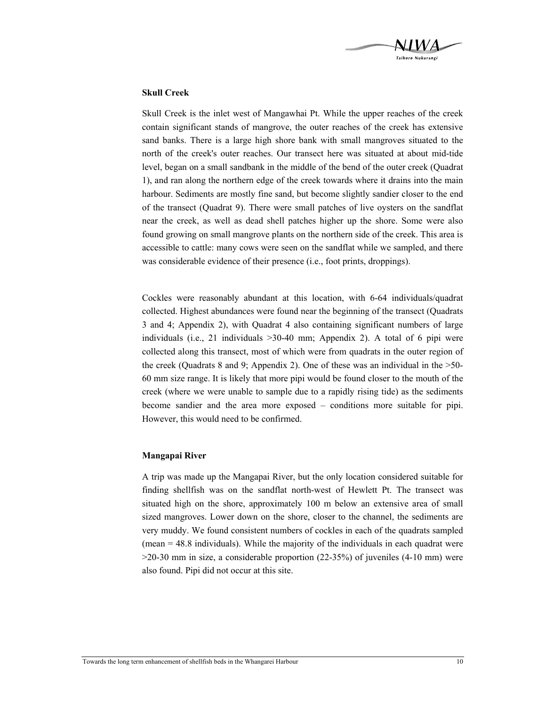

#### **Skull Creek**

Skull Creek is the inlet west of Mangawhai Pt. While the upper reaches of the creek contain significant stands of mangrove, the outer reaches of the creek has extensive sand banks. There is a large high shore bank with small mangroves situated to the north of the creek's outer reaches. Our transect here was situated at about mid-tide level, began on a small sandbank in the middle of the bend of the outer creek (Quadrat 1), and ran along the northern edge of the creek towards where it drains into the main harbour. Sediments are mostly fine sand, but become slightly sandier closer to the end of the transect (Quadrat 9). There were small patches of live oysters on the sandflat near the creek, as well as dead shell patches higher up the shore. Some were also found growing on small mangrove plants on the northern side of the creek. This area is accessible to cattle: many cows were seen on the sandflat while we sampled, and there was considerable evidence of their presence (i.e., foot prints, droppings).

Cockles were reasonably abundant at this location, with 6-64 individuals/quadrat collected. Highest abundances were found near the beginning of the transect (Quadrats 3 and 4; Appendix 2), with Quadrat 4 also containing significant numbers of large individuals (i.e., 21 individuals >30-40 mm; Appendix 2). A total of 6 pipi were collected along this transect, most of which were from quadrats in the outer region of the creek (Quadrats 8 and 9; Appendix 2). One of these was an individual in the >50- 60 mm size range. It is likely that more pipi would be found closer to the mouth of the creek (where we were unable to sample due to a rapidly rising tide) as the sediments become sandier and the area more exposed – conditions more suitable for pipi. However, this would need to be confirmed.

#### **Mangapai River**

A trip was made up the Mangapai River, but the only location considered suitable for finding shellfish was on the sandflat north-west of Hewlett Pt. The transect was situated high on the shore, approximately 100 m below an extensive area of small sized mangroves. Lower down on the shore, closer to the channel, the sediments are very muddy. We found consistent numbers of cockles in each of the quadrats sampled (mean = 48.8 individuals). While the majority of the individuals in each quadrat were  $>20-30$  mm in size, a considerable proportion (22-35%) of juveniles (4-10 mm) were also found. Pipi did not occur at this site.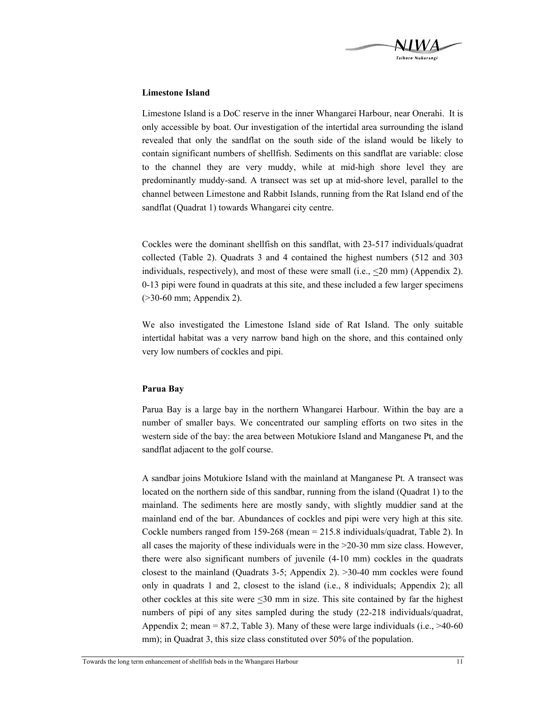

#### **Limestone Island**

Limestone Island is a DoC reserve in the inner Whangarei Harbour, near Onerahi. It is only accessible by boat. Our investigation of the intertidal area surrounding the island revealed that only the sandflat on the south side of the island would be likely to contain significant numbers of shellfish. Sediments on this sandflat are variable: close to the channel they are very muddy, while at mid-high shore level they are predominantly muddy-sand. A transect was set up at mid-shore level, parallel to the channel between Limestone and Rabbit Islands, running from the Rat Island end of the sandflat (Quadrat 1) towards Whangarei city centre.

Cockles were the dominant shellfish on this sandflat, with 23-517 individuals/quadrat collected (Table 2). Quadrats 3 and 4 contained the highest numbers (512 and 303 individuals, respectively), and most of these were small (i.e., <20 mm) (Appendix 2). 0-13 pipi were found in quadrats at this site, and these included a few larger specimens (>30-60 mm; Appendix 2).

We also investigated the Limestone Island side of Rat Island. The only suitable intertidal habitat was a very narrow band high on the shore, and this contained only very low numbers of cockles and pipi.

#### **Parua Bay**

Parua Bay is a large bay in the northern Whangarei Harbour. Within the bay are a number of smaller bays. We concentrated our sampling efforts on two sites in the western side of the bay: the area between Motukiore Island and Manganese Pt, and the sandflat adjacent to the golf course.

A sandbar joins Motukiore Island with the mainland at Manganese Pt. A transect was located on the northern side of this sandbar, running from the island (Quadrat 1) to the mainland. The sediments here are mostly sandy, with slightly muddier sand at the mainland end of the bar. Abundances of cockles and pipi were very high at this site. Cockle numbers ranged from 159-268 (mean = 215.8 individuals/quadrat, Table 2). In all cases the majority of these individuals were in the  $>20-30$  mm size class. However, there were also significant numbers of juvenile (4-10 mm) cockles in the quadrats closest to the mainland (Quadrats 3-5; Appendix 2). >30-40 mm cockles were found only in quadrats 1 and 2, closest to the island (i.e., 8 individuals; Appendix 2); all other cockles at this site were <30 mm in size. This site contained by far the highest numbers of pipi of any sites sampled during the study (22-218 individuals/quadrat, Appendix 2; mean  $= 87.2$ , Table 3). Many of these were large individuals (i.e.,  $>40-60$ mm); in Quadrat 3, this size class constituted over 50% of the population.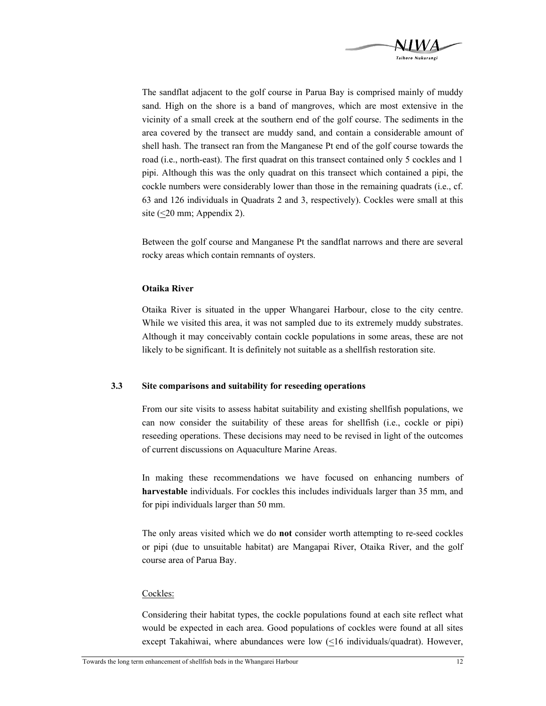

The sandflat adjacent to the golf course in Parua Bay is comprised mainly of muddy sand. High on the shore is a band of mangroves, which are most extensive in the vicinity of a small creek at the southern end of the golf course. The sediments in the area covered by the transect are muddy sand, and contain a considerable amount of shell hash. The transect ran from the Manganese Pt end of the golf course towards the road (i.e., north-east). The first quadrat on this transect contained only 5 cockles and 1 pipi. Although this was the only quadrat on this transect which contained a pipi, the cockle numbers were considerably lower than those in the remaining quadrats (i.e., cf. 63 and 126 individuals in Quadrats 2 and 3, respectively). Cockles were small at this site (<20 mm; Appendix 2).

Between the golf course and Manganese Pt the sandflat narrows and there are several rocky areas which contain remnants of oysters.

#### **Otaika River**

Otaika River is situated in the upper Whangarei Harbour, close to the city centre. While we visited this area, it was not sampled due to its extremely muddy substrates. Although it may conceivably contain cockle populations in some areas, these are not likely to be significant. It is definitely not suitable as a shellfish restoration site.

#### **3.3 Site comparisons and suitability for reseeding operations**

From our site visits to assess habitat suitability and existing shellfish populations, we can now consider the suitability of these areas for shellfish (i.e., cockle or pipi) reseeding operations. These decisions may need to be revised in light of the outcomes of current discussions on Aquaculture Marine Areas.

In making these recommendations we have focused on enhancing numbers of **harvestable** individuals. For cockles this includes individuals larger than 35 mm, and for pipi individuals larger than 50 mm.

The only areas visited which we do **not** consider worth attempting to re-seed cockles or pipi (due to unsuitable habitat) are Mangapai River, Otaika River, and the golf course area of Parua Bay.

#### Cockles:

Considering their habitat types, the cockle populations found at each site reflect what would be expected in each area. Good populations of cockles were found at all sites except Takahiwai, where abundances were low (<16 individuals/quadrat). However,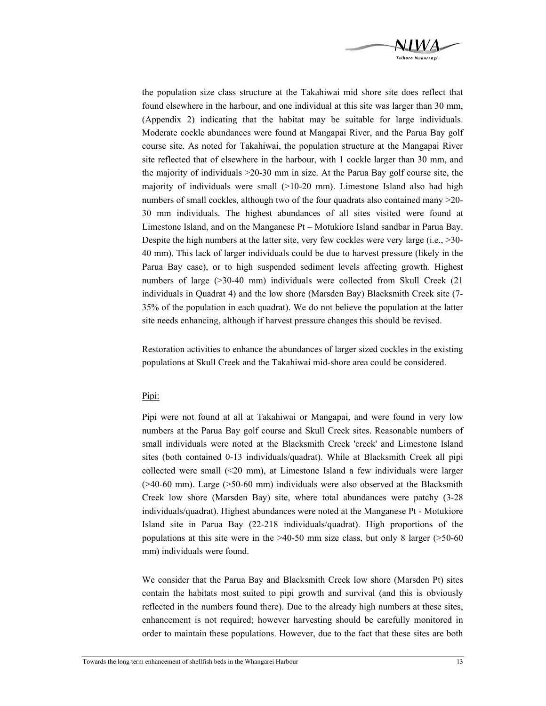

the population size class structure at the Takahiwai mid shore site does reflect that found elsewhere in the harbour, and one individual at this site was larger than 30 mm, (Appendix 2) indicating that the habitat may be suitable for large individuals. Moderate cockle abundances were found at Mangapai River, and the Parua Bay golf course site. As noted for Takahiwai, the population structure at the Mangapai River site reflected that of elsewhere in the harbour, with 1 cockle larger than 30 mm, and the majority of individuals >20-30 mm in size. At the Parua Bay golf course site, the majority of individuals were small  $(>10-20$  mm). Limestone Island also had high numbers of small cockles, although two of the four quadrats also contained many  $>20$ -30 mm individuals. The highest abundances of all sites visited were found at Limestone Island, and on the Manganese Pt – Motukiore Island sandbar in Parua Bay. Despite the high numbers at the latter site, very few cockles were very large (i.e., >30-40 mm). This lack of larger individuals could be due to harvest pressure (likely in the Parua Bay case), or to high suspended sediment levels affecting growth. Highest numbers of large (>30-40 mm) individuals were collected from Skull Creek (21 individuals in Quadrat 4) and the low shore (Marsden Bay) Blacksmith Creek site (7- 35% of the population in each quadrat). We do not believe the population at the latter site needs enhancing, although if harvest pressure changes this should be revised.

Restoration activities to enhance the abundances of larger sized cockles in the existing populations at Skull Creek and the Takahiwai mid-shore area could be considered.

#### Pipi:

Pipi were not found at all at Takahiwai or Mangapai, and were found in very low numbers at the Parua Bay golf course and Skull Creek sites. Reasonable numbers of small individuals were noted at the Blacksmith Creek 'creek' and Limestone Island sites (both contained 0-13 individuals/quadrat). While at Blacksmith Creek all pipi collected were small (<20 mm), at Limestone Island a few individuals were larger  $($ >40-60 mm). Large ( $>$ 50-60 mm) individuals were also observed at the Blacksmith Creek low shore (Marsden Bay) site, where total abundances were patchy (3-28 individuals/quadrat). Highest abundances were noted at the Manganese Pt - Motukiore Island site in Parua Bay (22-218 individuals/quadrat). High proportions of the populations at this site were in the >40-50 mm size class, but only 8 larger (>50-60 mm) individuals were found.

We consider that the Parua Bay and Blacksmith Creek low shore (Marsden Pt) sites contain the habitats most suited to pipi growth and survival (and this is obviously reflected in the numbers found there). Due to the already high numbers at these sites, enhancement is not required; however harvesting should be carefully monitored in order to maintain these populations. However, due to the fact that these sites are both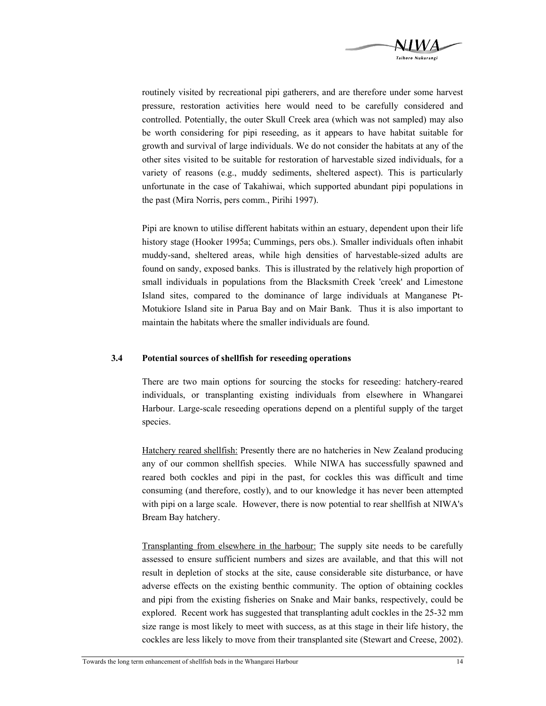

routinely visited by recreational pipi gatherers, and are therefore under some harvest pressure, restoration activities here would need to be carefully considered and controlled. Potentially, the outer Skull Creek area (which was not sampled) may also be worth considering for pipi reseeding, as it appears to have habitat suitable for growth and survival of large individuals. We do not consider the habitats at any of the other sites visited to be suitable for restoration of harvestable sized individuals, for a variety of reasons (e.g., muddy sediments, sheltered aspect). This is particularly unfortunate in the case of Takahiwai, which supported abundant pipi populations in the past (Mira Norris, pers comm., Pirihi 1997).

Pipi are known to utilise different habitats within an estuary, dependent upon their life history stage (Hooker 1995a; Cummings, pers obs.). Smaller individuals often inhabit muddy-sand, sheltered areas, while high densities of harvestable-sized adults are found on sandy, exposed banks. This is illustrated by the relatively high proportion of small individuals in populations from the Blacksmith Creek 'creek' and Limestone Island sites, compared to the dominance of large individuals at Manganese Pt-Motukiore Island site in Parua Bay and on Mair Bank. Thus it is also important to maintain the habitats where the smaller individuals are found.

#### **3.4 Potential sources of shellfish for reseeding operations**

There are two main options for sourcing the stocks for reseeding: hatchery-reared individuals, or transplanting existing individuals from elsewhere in Whangarei Harbour. Large-scale reseeding operations depend on a plentiful supply of the target species.

Hatchery reared shellfish: Presently there are no hatcheries in New Zealand producing any of our common shellfish species. While NIWA has successfully spawned and reared both cockles and pipi in the past, for cockles this was difficult and time consuming (and therefore, costly), and to our knowledge it has never been attempted with pipi on a large scale. However, there is now potential to rear shell fish at NIWA's Bream Bay hatchery.

Transplanting from elsewhere in the harbour: The supply site needs to be carefully assessed to ensure sufficient numbers and sizes are available, and that this will not result in depletion of stocks at the site, cause considerable site disturbance, or have adverse effects on the existing benthic community. The option of obtaining cockles and pipi from the existing fisheries on Snake and Mair banks, respectively, could be explored. Recent work has suggested that transplanting adult cockles in the 25-32 mm size range is most likely to meet with success, as at this stage in their life history, the cockles are less likely to move from their transplanted site (Stewart and Creese, 2002).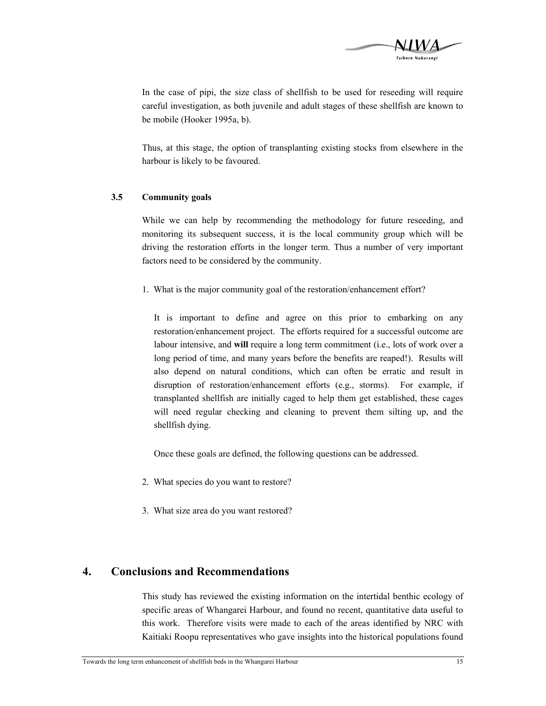

In the case of pipi, the size class of shellfish to be used for reseeding will require careful investigation, as both juvenile and adult stages of these shellfish are known to be mobile (Hooker 1995a, b).

Thus, at this stage, the option of transplanting existing stocks from elsewhere in the harbour is likely to be favoured.

#### **3.5 Community goals**

While we can help by recommending the methodology for future reseeding, and monitoring its subsequent success, it is the local community group which will be driving the restoration efforts in the longer term. Thus a number of very important factors need to be considered by the community.

1. What is the major community goal of the restoration/enhancement effort?

It is important to define and agree on this prior to embarking on any restoration/enhancement project. The efforts required for a successful outcome are labour intensive, and **will** require a long term commitment (i.e., lots of work over a long period of time, and many years before the benefits are reaped!). Results will also depend on natural conditions, which can often be erratic and result in disruption of restoration/enhancement efforts (e.g., storms). For example, if transplanted shellfish are initially caged to help them get established, these cages will need regular checking and cleaning to prevent them silting up, and the shellfish dying.

Once these goals are defined, the following questions can be addressed.

- 2. What species do you want to restore?
- 3. What size area do you want restored?

## **4. Conclusions and Recommendations**

This study has reviewed the existing information on the intertidal benthic ecology of specific areas of Whangarei Harbour, and found no recent, quantitative data useful to this work. Therefore visits were made to each of the areas identified by NRC with Kaitiaki Roopu representatives who gave insights into the historical populations found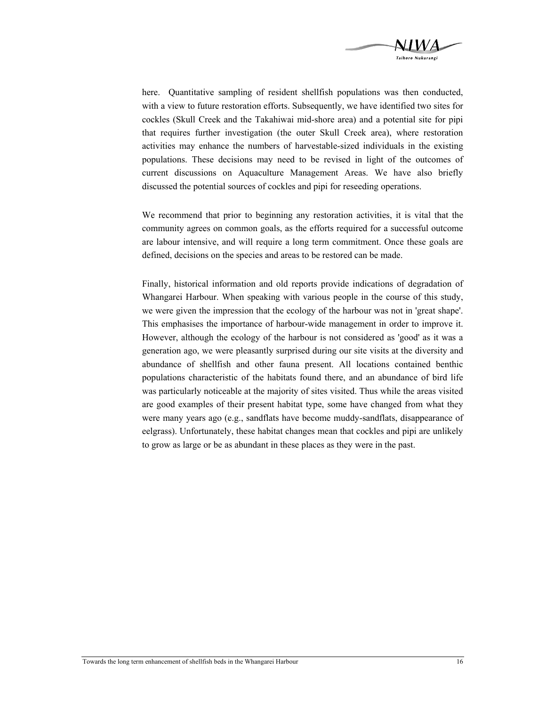

here. Quantitative sampling of resident shellfish populations was then conducted, with a view to future restoration efforts. Subsequently, we have identified two sites for cockles (Skull Creek and the Takahiwai mid-shore area) and a potential site for pipi that requires further investigation (the outer Skull Creek area), where restoration activities may enhance the numbers of harvestable-sized individuals in the existing populations. These decisions may need to be revised in light of the outcomes of current discussions on Aquaculture Management Areas. We have also briefly discussed the potential sources of cockles and pipi for reseeding operations.

We recommend that prior to beginning any restoration activities, it is vital that the community agrees on common goals, as the efforts required for a successful outcome are labour intensive, and will require a long term commitment. Once these goals are defined, decisions on the species and areas to be restored can be made.

Finally, historical information and old reports provide indications of degradation of Whangarei Harbour. When speaking with various people in the course of this study, we were given the impression that the ecology of the harbour was not in 'great shape'. This emphasises the importance of harbour-wide management in order to improve it. However, although the ecology of the harbour is not considered as 'good' as it was a generation ago, we were pleasantly surprised during our site visits at the diversity and abundance of shellfish and other fauna present. All locations contained benthic populations characteristic of the habitats found there, and an abundance of bird life was particularly noticeable at the majority of sites visited. Thus while the areas visited are good examples of their present habitat type, some have changed from what they were many years ago (e.g., sandflats have become muddy-sandflats, disappearance of eelgrass). Unfortunately, these habitat changes mean that cockles and pipi are unlikely to grow as large or be as abundant in these places as they were in the past.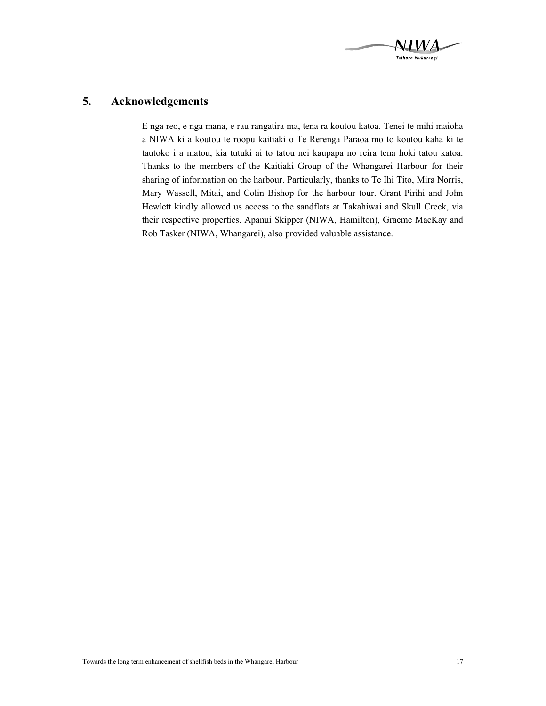

## **5. Acknowledgements**

E nga reo, e nga mana, e rau rangatira ma, tena ra koutou katoa. Tenei te mihi maioha a NIWA ki a koutou te roopu kaitiaki o Te Rerenga Paraoa mo to koutou kaha ki te tautoko i a matou, kia tutuki ai to tatou nei kaupapa no reira tena hoki tatou katoa. Thanks to the members of the Kaitiaki Group of the Whangarei Harbour for their sharing of information on the harbour. Particularly, thanks to Te Ihi Tito, Mira Norris, Mary Wassell, Mitai, and Colin Bishop for the harbour tour. Grant Pirihi and John Hewlett kindly allowed us access to the sandflats at Takahiwai and Skull Creek, via their respective properties. Apanui Skipper (NIWA, Hamilton), Graeme MacKay and Rob Tasker (NIWA, Whangarei), also provided valuable assistance.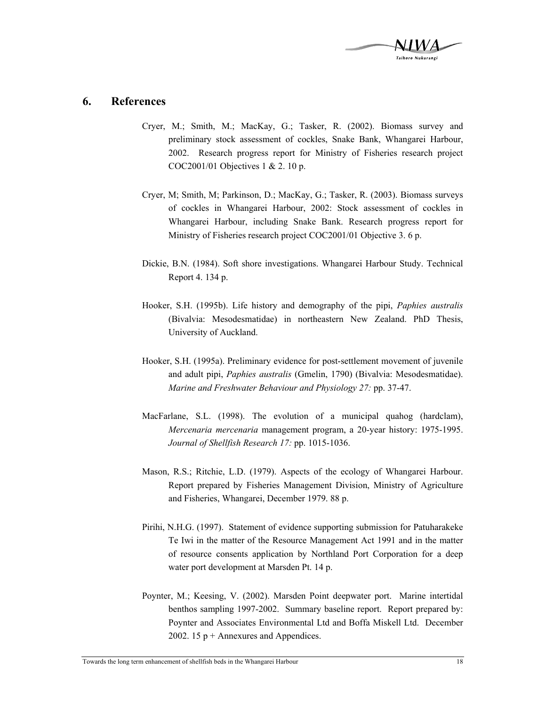

### **6. References**

- Cryer, M.; Smith, M.; MacKay, G.; Tasker, R. (2002). Biomass survey and preliminary stock assessment of cockles, Snake Bank, Whangarei Harbour, 2002. Research progress report for Ministry of Fisheries research project COC2001/01 Objectives 1 & 2. 10 p.
- Cryer, M; Smith, M; Parkinson, D.; MacKay, G.; Tasker, R. (2003). Biomass surveys of cockles in Whangarei Harbour, 2002: Stock assessment of cockles in Whangarei Harbour, including Snake Bank. Research progress report for Ministry of Fisheries research project COC2001/01 Objective 3. 6 p.
- Dickie, B.N. (1984). Soft shore investigations. Whangarei Harbour Study. Technical Report 4. 134 p.
- Hooker, S.H. (1995b). Life history and demography of the pipi, *Paphies australis*  (Bivalvia: Mesodesmatidae) in northeastern New Zealand. PhD Thesis, University of Auckland.
- Hooker, S.H. (1995a). Preliminary evidence for post-settlement movement of juvenile and adult pipi, *Paphies australis* (Gmelin, 1790) (Bivalvia: Mesodesmatidae). *Marine and Freshwater Behaviour and Physiology 27:* pp. 37-47.
- MacFarlane, S.L. (1998). The evolution of a municipal quahog (hardclam), *Mercenaria mercenaria* management program, a 20-year history: 1975-1995. *Journal of Shellfish Research 17:* pp. 1015-1036.
- Mason, R.S.; Ritchie, L.D. (1979). Aspects of the ecology of Whangarei Harbour. Report prepared by Fisheries Management Division, Ministry of Agriculture and Fisheries, Whangarei, December 1979. 88 p.
- Pirihi, N.H.G. (1997). Statement of evidence supporting submission for Patuharakeke Te Iwi in the matter of the Resource Management Act 1991 and in the matter of resource consents application by Northland Port Corporation for a deep water port development at Marsden Pt. 14 p.
- Poynter, M.; Keesing, V. (2002). Marsden Point deepwater port. Marine intertidal benthos sampling 1997-2002. Summary baseline report. Report prepared by: Poynter and Associates Environmental Ltd and Boffa Miskell Ltd. December 2002. 15  $p +$  Annexures and Appendices.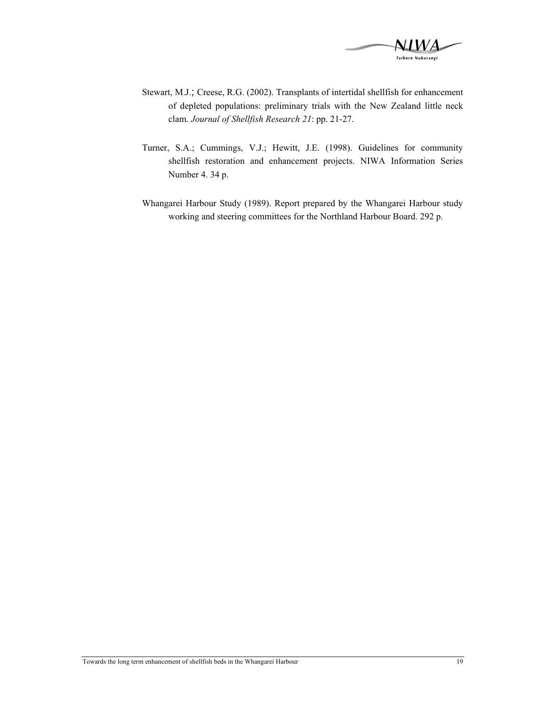

- Stewart, M.J.; Creese, R.G. (2002). Transplants of intertidal shellfish for enhancement of depleted populations: preliminary trials with the New Zealand little neck clam. *Journal of Shellfish Research 21*: pp. 21-27.
- Turner, S.A.; Cummings, V.J.; Hewitt, J.E. (1998). Guidelines for community shellfish restoration and enhancement projects. NIWA Information Series Number 4. 34 p.
- Whangarei Harbour Study (1989). Report prepared by the Whangarei Harbour study working and steering committees for the Northland Harbour Board. 292 p.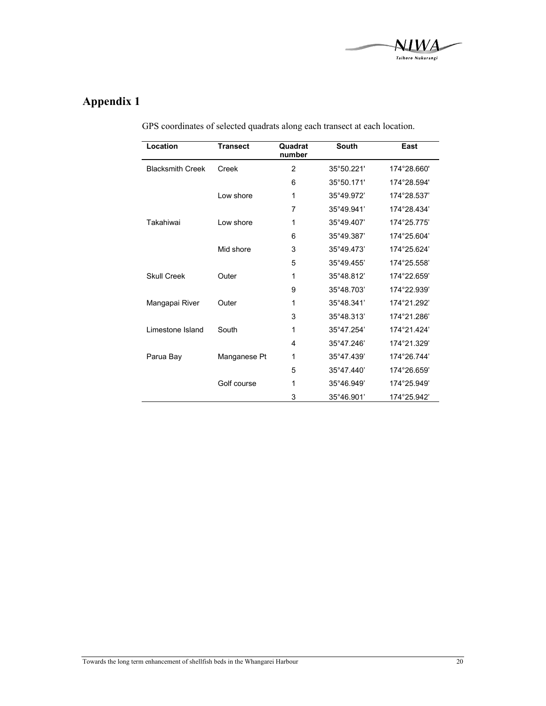

## **Appendix 1**

| Location                | <b>Transect</b> | Quadrat<br>number | <b>South</b> | East        |
|-------------------------|-----------------|-------------------|--------------|-------------|
| <b>Blacksmith Creek</b> | Creek           | $\overline{2}$    | 35°50.221'   | 174°28.660' |
|                         |                 | 6                 | 35°50.171'   | 174°28.594' |
|                         | I ow shore      | 1                 | 35°49.972'   | 174°28.537' |
|                         |                 | 7                 | 35°49.941'   | 174°28.434' |
| Takahiwai               | I ow shore      | 1                 | 35°49.407'   | 174°25.775' |
|                         |                 | 6                 | 35°49.387'   | 174°25.604' |
|                         | Mid shore       | 3                 | 35°49.473'   | 174°25.624' |
|                         |                 | 5                 | 35°49.455'   | 174°25.558' |
| <b>Skull Creek</b>      | Outer           | 1                 | 35°48.812'   | 174°22.659' |
|                         |                 | 9                 | 35°48.703'   | 174°22.939' |
| Mangapai River          | Outer           | 1                 | 35°48.341'   | 174°21.292' |
|                         |                 | 3                 | 35°48.313'   | 174°21.286' |
| Limestone Island        | South           | 1                 | 35°47.254'   | 174°21.424' |
|                         |                 | 4                 | 35°47.246'   | 174°21.329' |
| Parua Bay               | Manganese Pt    | 1                 | 35°47.439'   | 174°26.744' |
|                         |                 | 5                 | 35°47.440'   | 174°26.659' |
|                         | Golf course     | 1                 | 35°46.949'   | 174°25.949' |
|                         |                 | 3                 | 35°46.901'   | 174°25.942' |

GPS coordinates of selected quadrats along each transect at each location.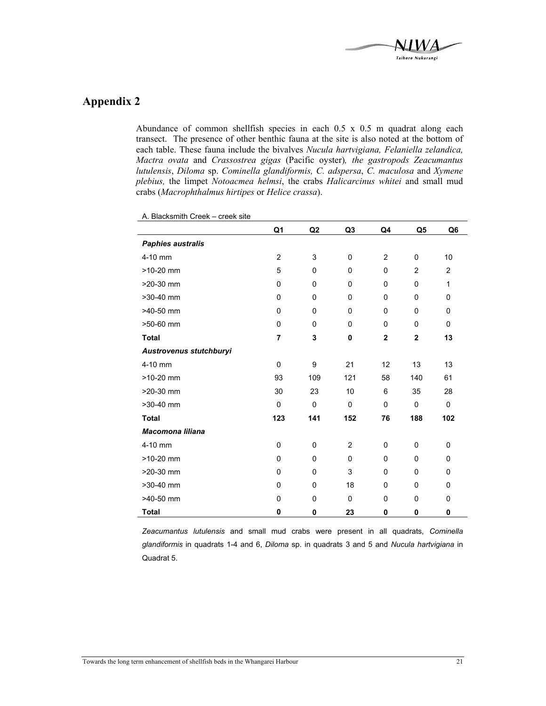

## **Appendix 2**

Abundance of common shellfish species in each 0.5 x 0.5 m quadrat along each transect. The presence of other benthic fauna at the site is also noted at the bottom of each table. These fauna include the bivalves *Nucula hartvigiana, Felaniella zelandica, Mactra ovata* and *Crassostrea gigas* (Pacific oyster)*, the gastropods Zeacumantus lutulensis*, *Diloma* sp. *Cominella glandiformis, C. adspersa*, *C. maculosa* and *Xymene plebius,* the limpet *Notoacmea helmsi*, the crabs *Halicarcinus whitei* and small mud crabs (*Macrophthalmus hirtipes* or *Helice crassa*).

|                          | Q1             | Q <sub>2</sub> | Q3             | Q4             | Q <sub>5</sub> | Q6       |
|--------------------------|----------------|----------------|----------------|----------------|----------------|----------|
| <b>Paphies australis</b> |                |                |                |                |                |          |
| 4-10 mm                  | $\overline{2}$ | 3              | $\mathbf 0$    | $\overline{2}$ | 0              | 10       |
| $>10-20$ mm              | 5              | 0              | $\mathbf 0$    | $\Omega$       | $\overline{2}$ | 2        |
| >20-30 mm                | 0              | 0              | 0              | 0              | 0              | 1        |
| $>30-40$ mm              | $\Omega$       | 0              | $\mathbf 0$    | $\Omega$       | $\Omega$       | 0        |
| >40-50 mm                | 0              | 0              | $\mathbf 0$    | 0              | $\Omega$       | 0        |
| >50-60 mm                | 0              | 0              | $\mathbf 0$    | 0              | 0              | 0        |
| <b>Total</b>             | $\overline{7}$ | 3              | 0              | $\mathbf 2$    | $\overline{2}$ | 13       |
| Austrovenus stutchburyi  |                |                |                |                |                |          |
| 4-10 mm                  | $\Omega$       | 9              | 21             | 12             | 13             | 13       |
| $>10-20$ mm              | 93             | 109            | 121            | 58             | 140            | 61       |
| >20-30 mm                | 30             | 23             | 10             | 6              | 35             | 28       |
| $>30-40$ mm              | 0              | 0              | $\mathbf 0$    | 0              | 0              | 0        |
| <b>Total</b>             | 123            | 141            | 152            | 76             | 188            | 102      |
| <b>Macomona liliana</b>  |                |                |                |                |                |          |
| 4-10 mm                  | 0              | 0              | $\overline{2}$ | 0              | 0              | 0        |
| $>10-20$ mm              | 0              | 0              | $\mathbf 0$    | 0              | 0              | 0        |
| >20-30 mm                | 0              | 0              | 3              | $\Omega$       | $\Omega$       | $\Omega$ |
| >30-40 mm                | 0              | 0              | 18             | 0              | 0              | 0        |
| $>40-50$ mm              | 0              | 0              | $\mathbf 0$    | 0              | 0              | 0        |
| <b>Total</b>             | $\mathbf{0}$   | 0              | 23             | $\mathbf 0$    | $\mathbf 0$    | 0        |

A. Blacksmith Creek – creek site

*Zeacumantus lutulensis* and small mud crabs were present in all quadrats, *Cominella glandiformis* in quadrats 1-4 and 6, *Diloma* sp. in quadrats 3 and 5 and *Nucula hartvigiana* in Quadrat 5.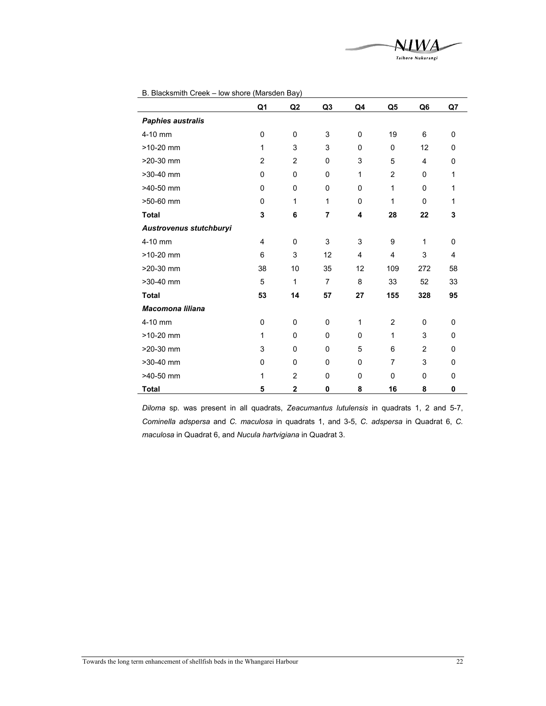

|  |  |  |  | B. Blacksmith Creek - low shore (Marsden Bay) |  |
|--|--|--|--|-----------------------------------------------|--|
|--|--|--|--|-----------------------------------------------|--|

|                          | Q1 | Q2           | Q <sub>3</sub> | Q4           | Q5             | Q6             | Q7           |
|--------------------------|----|--------------|----------------|--------------|----------------|----------------|--------------|
| <b>Paphies australis</b> |    |              |                |              |                |                |              |
| 4-10 mm                  | 0  | 0            | 3              | $\mathbf 0$  | 19             | 6              | 0            |
| $>10-20$ mm              | 1  | 3            | 3              | $\mathbf{0}$ | $\Omega$       | 12             | $\mathbf 0$  |
| >20-30 mm                | 2  | 2            | 0              | 3            | 5              | 4              | $\Omega$     |
| >30-40 mm                | 0  | $\Omega$     | $\Omega$       | 1            | $\overline{2}$ | 0              | 1            |
| >40-50 mm                | 0  | 0            | 0              | 0            | 1              | 0              | 1            |
| >50-60 mm                | 0  | 1            | 1              | 0            | 1              | $\Omega$       | 1            |
| <b>Total</b>             | 3  | 6            | 7              | 4            | 28             | 22             | 3            |
| Austrovenus stutchburyi  |    |              |                |              |                |                |              |
| 4-10 mm                  | 4  | $\Omega$     | 3              | 3            | 9              | 1              | $\mathbf 0$  |
| >10-20 mm                | 6  | 3            | 12             | 4            | 4              | 3              | 4            |
| >20-30 mm                | 38 | 10           | 35             | 12           | 109            | 272            | 58           |
| >30-40 mm                | 5  | 1            | $\overline{7}$ | 8            | 33             | 52             | 33           |
| <b>Total</b>             | 53 | 14           | 57             | 27           | 155            | 328            | 95           |
| <b>Macomona liliana</b>  |    |              |                |              |                |                |              |
| 4-10 mm                  | 0  | 0            | 0              | 1            | 2              | 0              | 0            |
| >10-20 mm                | 1  | 0            | 0              | $\mathbf 0$  | 1              | 3              | 0            |
| >20-30 mm                | 3  | $\Omega$     | $\Omega$       | 5            | 6              | $\overline{2}$ | $\mathbf{0}$ |
| >30-40 mm                | 0  | 0            | 0              | 0            | $\overline{7}$ | 3              | $\mathbf{0}$ |
| $>40-50$ mm              | 1  | 2            | 0              | $\mathbf 0$  | 0              | 0              | 0            |
| <b>Total</b>             | 5  | $\mathbf{2}$ | 0              | 8            | 16             | 8              | 0            |

*Diloma* sp*.* was present in all quadrats, *Zeacumantus lutulensis* in quadrats 1, 2 and 5-7, *Cominella adspersa* and *C. maculosa* in quadrats 1, and 3-5, *C. adspersa* in Quadrat 6, *C. maculosa* in Quadrat 6, and *Nucula hartvigiana* in Quadrat 3.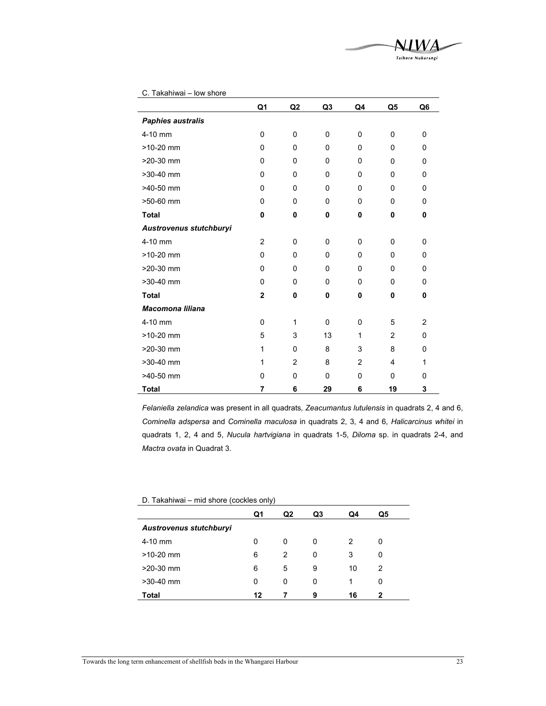

|                          | Q1             | Q <sub>2</sub> | Q <sub>3</sub> | Q4             | Q <sub>5</sub> | Q6             |
|--------------------------|----------------|----------------|----------------|----------------|----------------|----------------|
| <b>Paphies australis</b> |                |                |                |                |                |                |
| 4-10 mm                  | 0              | 0              | 0              | 0              | 0              | 0              |
| $>10-20$ mm              | $\mathbf{0}$   | $\mathbf{0}$   | 0              | 0              | $\mathbf{0}$   | 0              |
| $>20-30$ mm              | 0              | 0              | 0              | 0              | $\mathbf{0}$   | 0              |
| $>30-40$ mm              | 0              | $\mathbf{0}$   | 0              | 0              | $\mathbf{0}$   | 0              |
| >40-50 mm                | 0              | $\mathbf{0}$   | 0              | 0              | $\mathbf{0}$   | 0              |
| >50-60 mm                | 0              | $\mathbf{0}$   | 0              | 0              | $\mathbf{0}$   | 0              |
| <b>Total</b>             | $\mathbf 0$    | 0              | 0              | 0              | $\mathbf 0$    | 0              |
| Austrovenus stutchburyi  |                |                |                |                |                |                |
| 4-10 mm                  | $\overline{2}$ | 0              | 0              | 0              | 0              | 0              |
| $>10-20$ mm              | 0              | 0              | 0              | 0              | $\mathbf{0}$   | 0              |
| $>20-30$ mm              | $\mathbf 0$    | $\mathbf 0$    | 0              | 0              | $\mathbf{0}$   | 0              |
| $>30-40$ mm              | $\mathbf 0$    | 0              | 0              | 0              | $\mathbf{0}$   | 0              |
| <b>Total</b>             | $\mathbf{2}$   | 0              | 0              | 0              | 0              | 0              |
| <b>Macomona liliana</b>  |                |                |                |                |                |                |
| 4-10 mm                  | 0              | 1              | $\Omega$       | 0              | 5              | $\overline{2}$ |
| $>10-20$ mm              | 5              | 3              | 13             | 1              | $\overline{2}$ | 0              |
| >20-30 mm                | 1              | 0              | 8              | 3              | 8              | 0              |
| $>30-40$ mm              | 1              | $\overline{2}$ | 8              | $\overline{2}$ | $\overline{4}$ | 1              |
| >40-50 mm                | $\mathbf{0}$   | $\mathbf{0}$   | 0              | 0              | $\mathbf{0}$   | 0              |
| <b>Total</b>             | 7              | 6              | 29             | 6              | 19             | 3              |

C. Takahiwai – low shore

*Felaniella zelandica* was present in all quadrats*, Zeacumantus lutulensis* in quadrats 2, 4 and 6, *Cominella adspersa* and *Cominella maculosa* in quadrats 2, 3, 4 and 6, *Halicarcinus whitei* in quadrats 1, 2, 4 and 5, *Nucula hartvigiana* in quadrats 1-5, *Diloma* sp. in quadrats 2-4, and *Mactra ovata* in Quadrat 3.

| D. Takahiwai - mid shore (cockles only) |  |
|-----------------------------------------|--|
|-----------------------------------------|--|

|                         | Q1 | Q2 | Q3 | Q4 | Q5 |
|-------------------------|----|----|----|----|----|
| Austrovenus stutchburyi |    |    |    |    |    |
| $4-10$ mm               | 0  | 0  | 0  | 2  | 0  |
| $>10-20$ mm             | 6  | 2  | 0  | 3  | 0  |
| $>20-30$ mm             | 6  | 5  | 9  | 10 | 2  |
| $>30-40$ mm             | 0  | 0  | 0  | 1  | 0  |
| Total                   | 12 |    | 9  | 16 | 2  |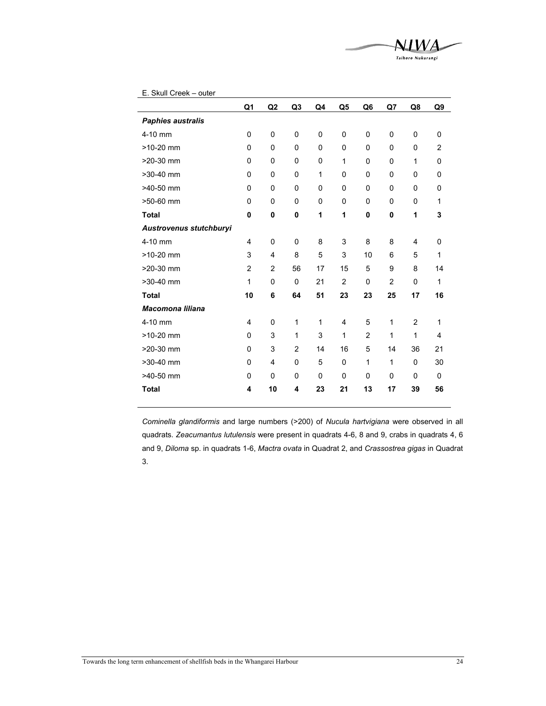|                          | Q1             | Q2          | Q <sub>3</sub> | Q <sub>4</sub> | Q5             | Q <sub>6</sub> | Q7             | Q8             | Q9             |
|--------------------------|----------------|-------------|----------------|----------------|----------------|----------------|----------------|----------------|----------------|
| <b>Paphies australis</b> |                |             |                |                |                |                |                |                |                |
| 4-10 mm                  | 0              | 0           | 0              | 0              | 0              | 0              | 0              | 0              | 0              |
| $>10-20$ mm              | $\mathbf 0$    | 0           | $\Omega$       | 0              | 0              | 0              | 0              | 0              | $\overline{2}$ |
| $>20-30$ mm              | 0              | 0           | 0              | 0              | 1              | 0              | 0              | 1              | 0              |
| $>30-40$ mm              | $\mathbf 0$    | $\mathbf 0$ | $\Omega$       | 1              | 0              | $\mathbf 0$    | $\mathbf 0$    | $\mathbf 0$    | 0              |
| $>40-50$ mm              | 0              | 0           | 0              | 0              | 0              | 0              | 0              | 0              | 0              |
| >50-60 mm                | 0              | 0           | 0              | 0              | 0              | 0              | $\mathbf 0$    | 0              | 1              |
| <b>Total</b>             | 0              | 0           | 0              | 1              | 1              | $\mathbf 0$    | $\mathbf 0$    | 1              | 3              |
| Austrovenus stutchburyi  |                |             |                |                |                |                |                |                |                |
| 4-10 mm                  | $\overline{4}$ | 0           | 0              | 8              | 3              | 8              | 8              | 4              | 0              |
| $>10-20$ mm              | 3              | 4           | 8              | 5              | 3              | 10             | 6              | 5              | 1              |
| >20-30 mm                | $\overline{2}$ | 2           | 56             | 17             | 15             | 5              | 9              | 8              | 14             |
| >30-40 mm                | 1              | 0           | $\Omega$       | 21             | $\overline{2}$ | 0              | $\overline{2}$ | 0              | 1              |
| <b>Total</b>             | 10             | 6           | 64             | 51             | 23             | 23             | 25             | 17             | 16             |
| <b>Macomona liliana</b>  |                |             |                |                |                |                |                |                |                |
| 4-10 mm                  | $\overline{4}$ | 0           | 1              | 1              | 4              | 5              | 1              | $\overline{c}$ | 1              |
| $>10-20$ mm              | $\mathbf 0$    | 3           | 1              | 3              | 1              | $\overline{2}$ | 1              | 1              | 4              |
| >20-30 mm                | $\mathbf 0$    | 3           | $\overline{2}$ | 14             | 16             | 5              | 14             | 36             | 21             |
|                          |                |             |                |                |                |                |                |                |                |
| $>30-40$ mm              | $\mathbf 0$    | 4           | 0              | 5              | 0              | 1              | 1              | 0              | 30             |
| >40-50 mm                | $\mathbf 0$    | 0           | 0              | 0              | 0              | $\mathbf 0$    | 0              | 0              | 0              |
| <b>Total</b>             | 4              | 10          | 4              | 23             | 21             | 13             | 17             | 39             | 56             |

NIWA Taihoro Nukurangi

*Cominella glandiformis* and large numbers (>200) of *Nucula hartvigiana* were observed in all quadrats. *Zeacumantus lutulensis* were present in quadrats 4-6, 8 and 9, crabs in quadrats 4, 6 and 9, *Diloma* sp. in quadrats 1-6, *Mactra ovata* in Quadrat 2, and *Crassostrea gigas* in Quadrat 3.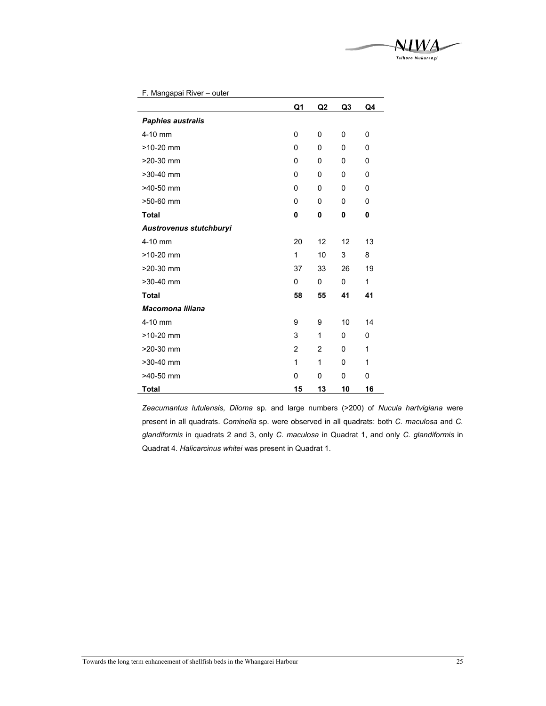

|                          | Q1             | Q2             | Q <sub>3</sub> | Q4 |
|--------------------------|----------------|----------------|----------------|----|
| <b>Paphies australis</b> |                |                |                |    |
| 4-10 mm                  | $\mathbf{0}$   | $\mathbf{0}$   | 0              | 0  |
| $>10-20$ mm              | 0              | $\mathbf{0}$   | 0              | 0  |
| >20-30 mm                | 0              | 0              | 0              | 0  |
| >30-40 mm                | $\mathbf{0}$   | $\mathbf{0}$   | 0              | 0  |
| $>40-50$ mm              | 0              | $\mathbf{0}$   | $\mathbf{0}$   | 0  |
| >50-60 mm                | $\mathbf{0}$   | 0              | 0              | 0  |
| <b>Total</b>             | 0              | 0              | 0              | 0  |
| Austrovenus stutchburyi  |                |                |                |    |
| 4-10 mm                  | 20             | 12             | 12             | 13 |
| $>10-20$ mm              | 1              | 10             | 3              | 8  |
| $>20-30$ mm              | 37             | 33             | 26             | 19 |
| >30-40 mm                | 0              | 0              | 0              | 1  |
| <b>Total</b>             | 58             | 55             | 41             | 41 |
| <b>Macomona liliana</b>  |                |                |                |    |
| 4-10 mm                  | 9              | 9              | 10             | 14 |
| $>10-20$ mm              | 3              | 1              | 0              | 0  |
| $>20-30$ mm              | $\overline{2}$ | $\overline{2}$ | 0              | 1  |
| >30-40 mm                | 1              | 1              | $\mathbf 0$    | 1  |
| >40-50 mm                | 0              | 0              | 0              | 0  |
| <b>Total</b>             | 15             | 13             | 10             | 16 |

F. Mangapai River – outer

*Zeacumantus lutulensis, Diloma* sp*.* and large numbers (>200) of *Nucula hartvigiana* were present in all quadrats. *Cominella* sp. were observed in all quadrats: both *C. maculosa* and *C. glandiformis* in quadrats 2 and 3, only *C. maculosa* in Quadrat 1, and only *C. glandiformis* in Quadrat 4. *Halicarcinus whitei* was present in Quadrat 1.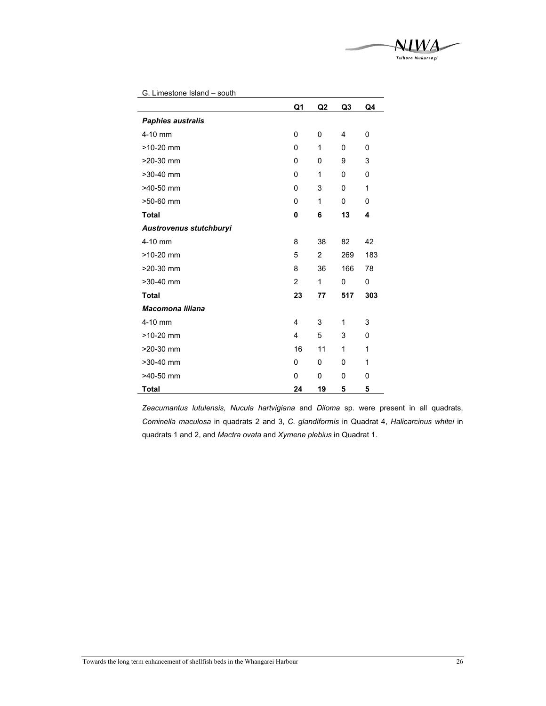

 $\overline{\phantom{0}}$ 

| G. Limestone Island - south |                |                |                |     |
|-----------------------------|----------------|----------------|----------------|-----|
|                             | Q1             | Q2             | Q <sub>3</sub> | Q4  |
| <b>Paphies australis</b>    |                |                |                |     |
| 4-10 mm                     | $\mathbf{0}$   | 0              | 4              | 0   |
| $>10-20$ mm                 | $\Omega$       | 1              | 0              | 0   |
| >20-30 mm                   | 0              | 0              | 9              | 3   |
| >30-40 mm                   | $\Omega$       | 1              | 0              | 0   |
| >40-50 mm                   | 0              | 3              | 0              | 1   |
| >50-60 mm                   | 0              | 1              | 0              | 0   |
| <b>Total</b>                | 0              | 6              | 13             | 4   |
| Austrovenus stutchburyi     |                |                |                |     |
| 4-10 mm                     | 8              | 38             | 82             | 42  |
| $>10-20$ mm                 | 5              | $\overline{2}$ | 269            | 183 |
| >20-30 mm                   | 8              | 36             | 166            | 78  |
| >30-40 mm                   | $\mathfrak{p}$ | 1              | 0              | 0   |
| <b>Total</b>                | 23             | 77             | 517            | 303 |
| <b>Macomona liliana</b>     |                |                |                |     |
| 4-10 mm                     | 4              | 3              | 1              | 3   |
| $>10-20$ mm                 | $\overline{4}$ | 5              | 3              | 0   |
| $>20-30$ mm                 | 16             | 11             | 1              | 1   |
| >30-40 mm                   | 0              | 0              | 0              | 1   |
| >40-50 mm                   | 0              | 0              | 0              | 0   |
| <b>Total</b>                | 24             | 19             | 5              | 5   |

*Zeacumantus lutulensis, Nucula hartvigiana* and *Diloma* sp. were present in all quadrats, *Cominella maculosa* in quadrats 2 and 3, *C. glandiformis* in Quadrat 4, *Halicarcinus whitei* in quadrats 1 and 2, and *Mactra ovata* and *Xymene plebius* in Quadrat 1.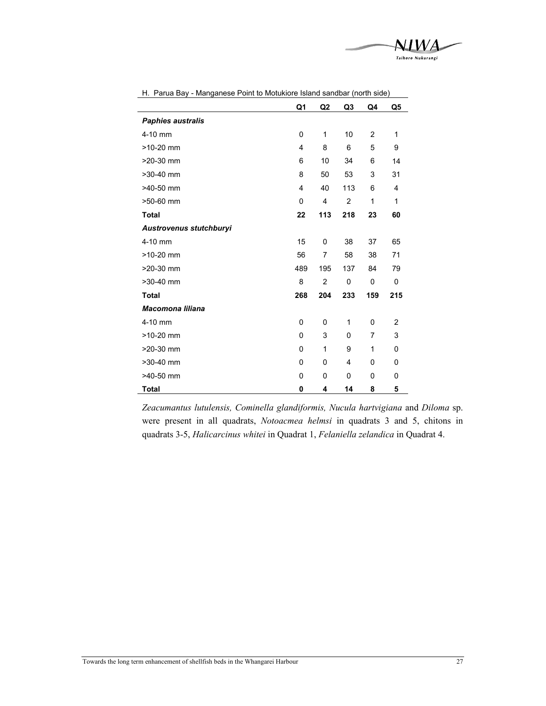

| n. Parua Bay - Manganese Politi to Motukiore islahu sahubar (north side) |     |                |     |     |                |  |  |
|--------------------------------------------------------------------------|-----|----------------|-----|-----|----------------|--|--|
|                                                                          | Q1  | Q <sub>2</sub> | Q3  | Q4  | Q5             |  |  |
| <b>Paphies australis</b>                                                 |     |                |     |     |                |  |  |
| 4-10 mm                                                                  | 0   | 1              | 10  | 2   | 1              |  |  |
| $>10-20$ mm                                                              | 4   | 8              | 6   | 5   | 9              |  |  |
| $>20-30$ mm                                                              | 6   | 10             | 34  | 6   | 14             |  |  |
| $>30-40$ mm                                                              | 8   | 50             | 53  | 3   | 31             |  |  |
| $>40-50$ mm                                                              | 4   | 40             | 113 | 6   | 4              |  |  |
| >50-60 mm                                                                | 0   | 4              | 2   | 1   | 1              |  |  |
| <b>Total</b>                                                             | 22  | 113            | 218 | 23  | 60             |  |  |
| Austrovenus stutchburyi                                                  |     |                |     |     |                |  |  |
| 4-10 mm                                                                  | 15  | 0              | 38  | 37  | 65             |  |  |
| $>10-20$ mm                                                              | 56  | 7              | 58  | 38  | 71             |  |  |
| $>20-30$ mm                                                              | 489 | 195            | 137 | 84  | 79             |  |  |
| $>30-40$ mm                                                              | 8   | $\overline{2}$ | 0   | 0   | 0              |  |  |
| <b>Total</b>                                                             | 268 | 204            | 233 | 159 | 215            |  |  |
| <b>Macomona liliana</b>                                                  |     |                |     |     |                |  |  |
| 4-10 mm                                                                  | 0   | $\mathbf{0}$   | 1   | 0   | $\overline{2}$ |  |  |
| $>10-20$ mm                                                              | 0   | 3              | 0   | 7   | 3              |  |  |
| >20-30 mm                                                                | 0   | 1              | 9   | 1   | 0              |  |  |
| $>30-40$ mm                                                              | 0   | $\mathbf{0}$   | 4   | 0   | 0              |  |  |
| >40-50 mm                                                                | 0   | 0              | 0   | 0   | 0              |  |  |
| <b>Total</b>                                                             | 0   | 4              | 14  | 8   | 5              |  |  |

H. Parua Bay - Manganese Point to Motukiore Island sandbar (north side)

*Zeacumantus lutulensis, Cominella glandiformis, Nucula hartvigiana* and *Diloma* sp. were present in all quadrats, *Notoacmea helmsi* in quadrats 3 and 5, chitons in quadrats 3-5, *Halicarcinus whitei* in Quadrat 1, *Felaniella zelandica* in Quadrat 4.